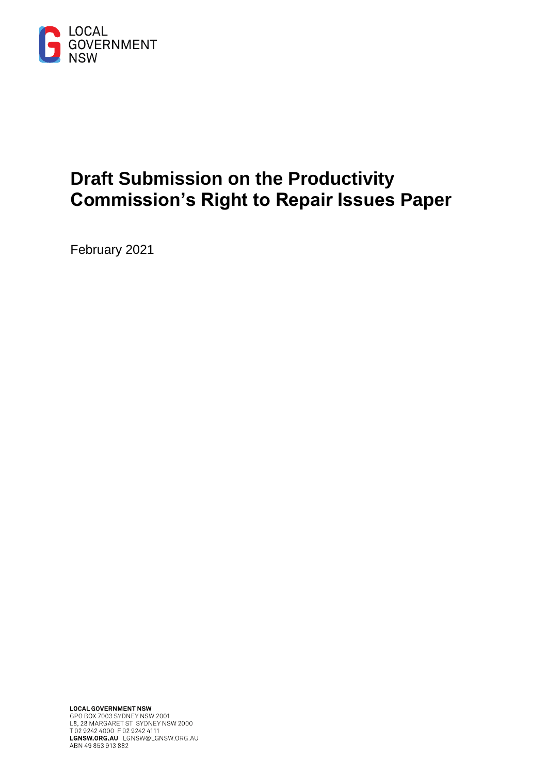

# **Draft Submission on the Productivity Commission's Right to Repair Issues Paper**

February 2021

**LOCAL GOVERNMENT NSW**<br>GPO BOX 7003 SYDNEY NSW 2001<br>L8, 28 MARGARET ST SYDNEY NSW 2000<br>T 02 9242 4000 F 02 9242 4111 LGNSW.ORG.AU LGNSW@LGNSW.ORG.AU ABN 49 853 913 882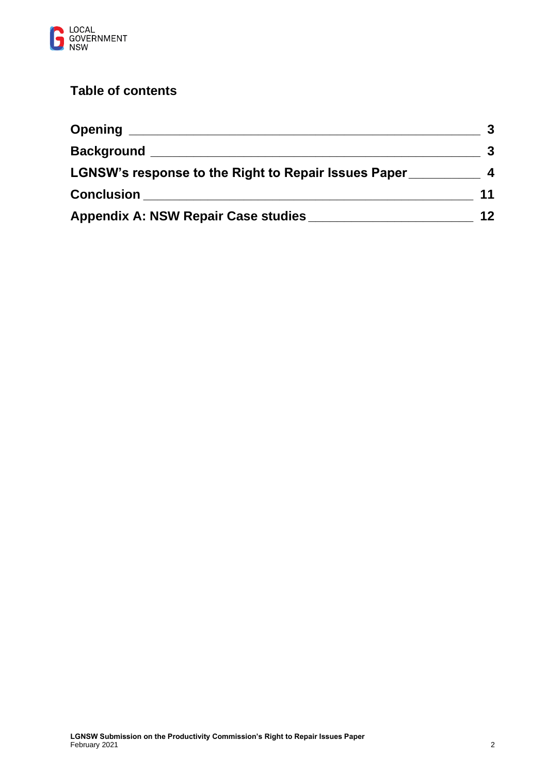

# **Table of contents**

| <b>Opening</b>                                                            |    |
|---------------------------------------------------------------------------|----|
| <b>Background</b><br>LGNSW's response to the Right to Repair Issues Paper | 4  |
|                                                                           |    |
| <b>Appendix A: NSW Repair Case studies</b>                                | 12 |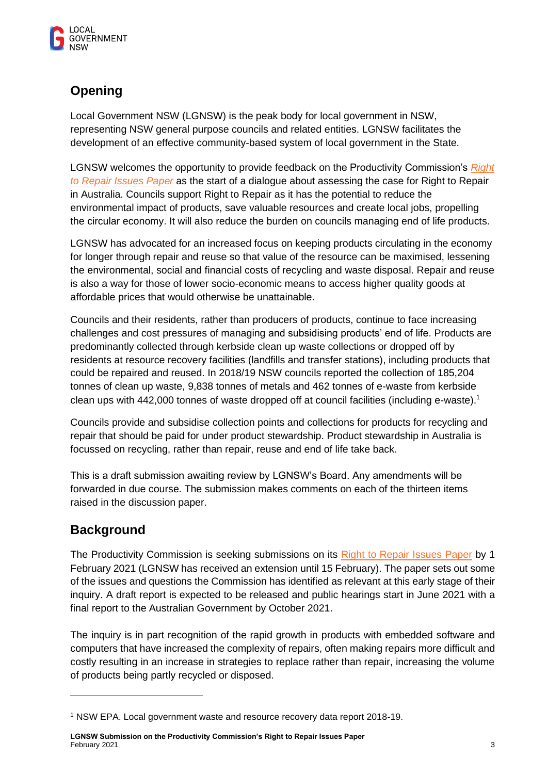

# **Opening**

Local Government NSW (LGNSW) is the peak body for local government in NSW, representing NSW general purpose councils and related entities. LGNSW facilitates the development of an effective community-based system of local government in the State.

LGNSW welcomes the opportunity to provide feedback on the Productivity Commission's *[Right](https://www.pc.gov.au/inquiries/current/repair/issues/repair-issues.pdf)  [to Repair Issues Paper](https://www.pc.gov.au/inquiries/current/repair/issues/repair-issues.pdf)* as the start of a dialogue about assessing the case for Right to Repair in Australia. Councils support Right to Repair as it has the potential to reduce the environmental impact of products, save valuable resources and create local jobs, propelling the circular economy. It will also reduce the burden on councils managing end of life products.

LGNSW has advocated for an increased focus on keeping products circulating in the economy for longer through repair and reuse so that value of the resource can be maximised, lessening the environmental, social and financial costs of recycling and waste disposal. Repair and reuse is also a way for those of lower socio-economic means to access higher quality goods at affordable prices that would otherwise be unattainable.

Councils and their residents, rather than producers of products, continue to face increasing challenges and cost pressures of managing and subsidising products' end of life. Products are predominantly collected through kerbside clean up waste collections or dropped off by residents at resource recovery facilities (landfills and transfer stations), including products that could be repaired and reused. In 2018/19 NSW councils reported the collection of 185,204 tonnes of clean up waste, 9,838 tonnes of metals and 462 tonnes of e-waste from kerbside clean ups with 442,000 tonnes of waste dropped off at council facilities (including e-waste).<sup>1</sup>

Councils provide and subsidise collection points and collections for products for recycling and repair that should be paid for under product stewardship. Product stewardship in Australia is focussed on recycling, rather than repair, reuse and end of life take back.

This is a draft submission awaiting review by LGNSW's Board. Any amendments will be forwarded in due course. The submission makes comments on each of the thirteen items raised in the discussion paper.

# **Background**

The Productivity Commission is seeking submissions on its [Right to Repair Issues Paper](https://www.pc.gov.au/inquiries/current/repair#issues) by 1 February 2021 (LGNSW has received an extension until 15 February). The paper sets out some of the issues and questions the Commission has identified as relevant at this early stage of their inquiry. A draft report is expected to be released and public hearings start in June 2021 with a final report to the Australian Government by October 2021.

The inquiry is in part recognition of the rapid growth in products with embedded software and computers that have increased the complexity of repairs, often making repairs more difficult and costly resulting in an increase in strategies to replace rather than repair, increasing the volume of products being partly recycled or disposed.

**LGNSW Submission on the Productivity Commission's Right to Repair Issues Paper** February 2021 3

<sup>1</sup> NSW EPA. Local government waste and resource recovery data report 2018-19.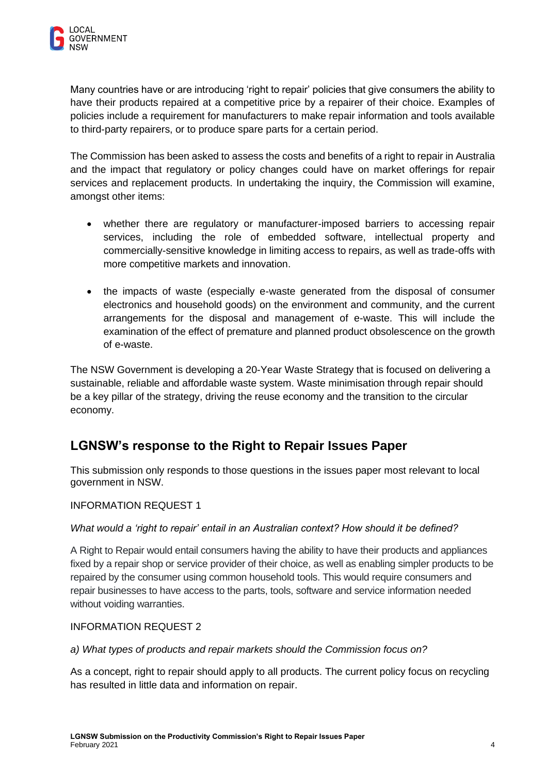Many countries have or are introducing 'right to repair' policies that give consumers the ability to have their products repaired at a competitive price by a repairer of their choice. Examples of policies include a requirement for manufacturers to make repair information and tools available to third-party repairers, or to produce spare parts for a certain period.

The Commission has been asked to assess the costs and benefits of a right to repair in Australia and the impact that regulatory or policy changes could have on market offerings for repair services and replacement products. In undertaking the inquiry, the Commission will examine, amongst other items:

- whether there are regulatory or manufacturer-imposed barriers to accessing repair services, including the role of embedded software, intellectual property and commercially-sensitive knowledge in limiting access to repairs, as well as trade-offs with more competitive markets and innovation.
- the impacts of waste (especially e-waste generated from the disposal of consumer electronics and household goods) on the environment and community, and the current arrangements for the disposal and management of e-waste. This will include the examination of the effect of premature and planned product obsolescence on the growth of e-waste.

The NSW Government is developing a 20-Year Waste Strategy that is focused on delivering a sustainable, reliable and affordable waste system. Waste minimisation through repair should be a key pillar of the strategy, driving the reuse economy and the transition to the circular economy.

# **LGNSW's response to the Right to Repair Issues Paper**

This submission only responds to those questions in the issues paper most relevant to local government in NSW.

## INFORMATION REQUEST 1

#### *What would a 'right to repair' entail in an Australian context? How should it be defined?*

A Right to Repair would entail consumers having the ability to have their products and appliances fixed by a repair shop or service provider of their choice, as well as enabling simpler products to be repaired by the consumer using common household tools. This would require consumers and repair businesses to have access to the parts, tools, software and service information needed without voiding warranties.

#### INFORMATION REQUEST 2

*a) What types of products and repair markets should the Commission focus on?*

As a concept, right to repair should apply to all products. The current policy focus on recycling has resulted in little data and information on repair.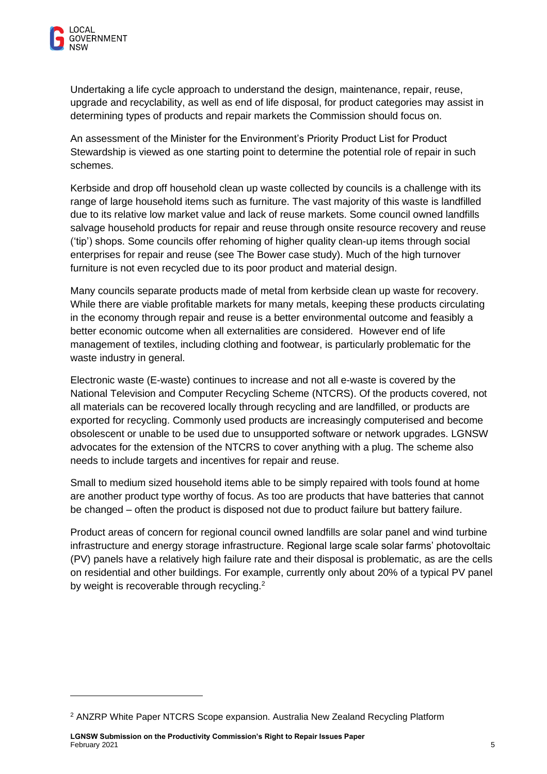Undertaking a life cycle approach to understand the design, maintenance, repair, reuse, upgrade and recyclability, as well as end of life disposal, for product categories may assist in determining types of products and repair markets the Commission should focus on.

An assessment of the Minister for the Environment's Priority Product List for Product Stewardship is viewed as one starting point to determine the potential role of repair in such schemes.

Kerbside and drop off household clean up waste collected by councils is a challenge with its range of large household items such as furniture. The vast majority of this waste is landfilled due to its relative low market value and lack of reuse markets. Some council owned landfills salvage household products for repair and reuse through onsite resource recovery and reuse ('tip') shops. Some councils offer rehoming of higher quality clean-up items through social enterprises for repair and reuse (see The Bower case study). Much of the high turnover furniture is not even recycled due to its poor product and material design.

Many councils separate products made of metal from kerbside clean up waste for recovery. While there are viable profitable markets for many metals, keeping these products circulating in the economy through repair and reuse is a better environmental outcome and feasibly a better economic outcome when all externalities are considered. However end of life management of textiles, including clothing and footwear, is particularly problematic for the waste industry in general.

Electronic waste (E-waste) continues to increase and not all e-waste is covered by the National Television and Computer Recycling Scheme (NTCRS). Of the products covered, not all materials can be recovered locally through recycling and are landfilled, or products are exported for recycling. Commonly used products are increasingly computerised and become obsolescent or unable to be used due to unsupported software or network upgrades. LGNSW advocates for the extension of the NTCRS to cover anything with a plug. The scheme also needs to include targets and incentives for repair and reuse.

Small to medium sized household items able to be simply repaired with tools found at home are another product type worthy of focus. As too are products that have batteries that cannot be changed – often the product is disposed not due to product failure but battery failure.

Product areas of concern for regional council owned landfills are solar panel and wind turbine infrastructure and energy storage infrastructure. Regional large scale solar farms' photovoltaic (PV) panels have a relatively high failure rate and their disposal is problematic, as are the cells on residential and other buildings. For example, currently only about 20% of a typical PV panel by weight is recoverable through recycling.<sup>2</sup>

<sup>2</sup> ANZRP White Paper NTCRS Scope expansion. Australia New Zealand Recycling Platform

**LGNSW Submission on the Productivity Commission's Right to Repair Issues Paper** February 2021 5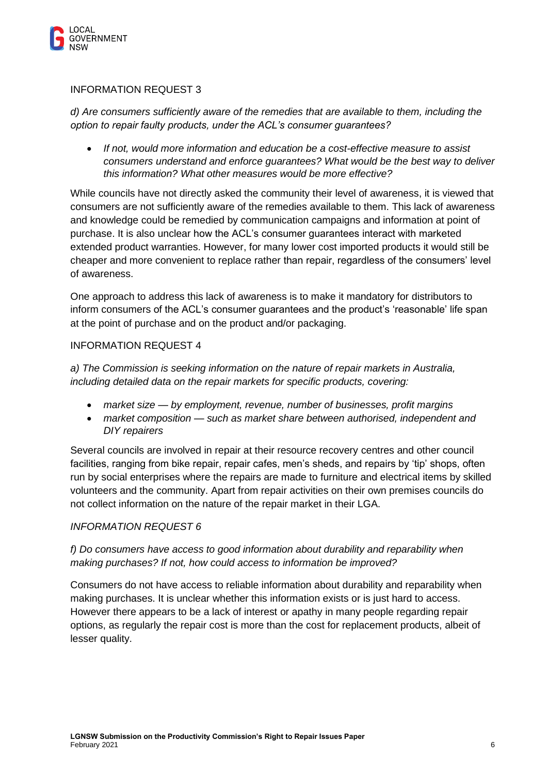

#### INFORMATION REQUEST 3

*d) Are consumers sufficiently aware of the remedies that are available to them, including the option to repair faulty products, under the ACL's consumer guarantees?*

• *If not, would more information and education be a cost-effective measure to assist consumers understand and enforce guarantees? What would be the best way to deliver this information? What other measures would be more effective?*

While councils have not directly asked the community their level of awareness, it is viewed that consumers are not sufficiently aware of the remedies available to them. This lack of awareness and knowledge could be remedied by communication campaigns and information at point of purchase. It is also unclear how the ACL's consumer guarantees interact with marketed extended product warranties. However, for many lower cost imported products it would still be cheaper and more convenient to replace rather than repair, regardless of the consumers' level of awareness.

One approach to address this lack of awareness is to make it mandatory for distributors to inform consumers of the ACL's consumer guarantees and the product's 'reasonable' life span at the point of purchase and on the product and/or packaging.

### INFORMATION REQUEST 4

*a) The Commission is seeking information on the nature of repair markets in Australia, including detailed data on the repair markets for specific products, covering:*

- *market size — by employment, revenue, number of businesses, profit margins*
- *market composition — such as market share between authorised, independent and DIY repairers*

Several councils are involved in repair at their resource recovery centres and other council facilities, ranging from bike repair, repair cafes, men's sheds, and repairs by 'tip' shops, often run by social enterprises where the repairs are made to furniture and electrical items by skilled volunteers and the community. Apart from repair activities on their own premises councils do not collect information on the nature of the repair market in their LGA.

#### *INFORMATION REQUEST 6*

## *f) Do consumers have access to good information about durability and reparability when making purchases? If not, how could access to information be improved?*

Consumers do not have access to reliable information about durability and reparability when making purchases. It is unclear whether this information exists or is just hard to access. However there appears to be a lack of interest or apathy in many people regarding repair options, as regularly the repair cost is more than the cost for replacement products, albeit of lesser quality.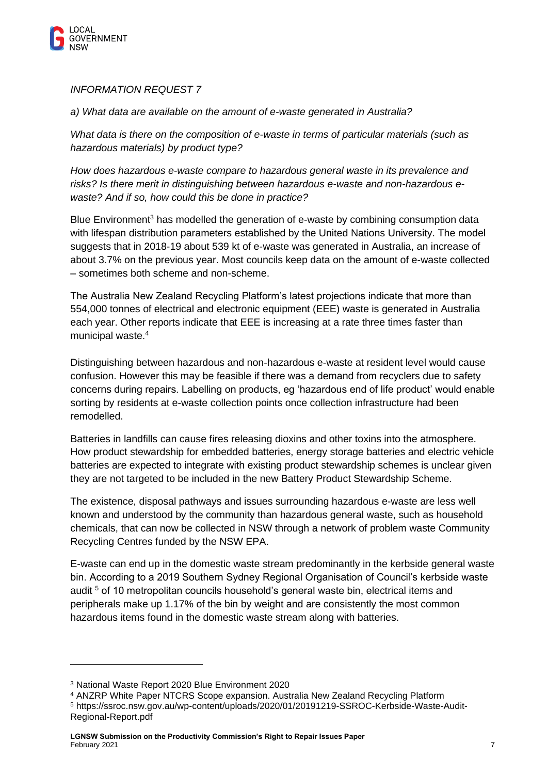

*INFORMATION REQUEST 7*

*a) What data are available on the amount of e-waste generated in Australia?*

*What data is there on the composition of e-waste in terms of particular materials (such as hazardous materials) by product type?*

*How does hazardous e-waste compare to hazardous general waste in its prevalence and risks? Is there merit in distinguishing between hazardous e-waste and non-hazardous ewaste? And if so, how could this be done in practice?*

Blue Environment<sup>3</sup> has modelled the generation of e-waste by combining consumption data with lifespan distribution parameters established by the United Nations University. The model suggests that in 2018-19 about 539 kt of e-waste was generated in Australia, an increase of about 3.7% on the previous year. Most councils keep data on the amount of e-waste collected – sometimes both scheme and non-scheme.

The Australia New Zealand Recycling Platform's latest projections indicate that more than 554,000 tonnes of electrical and electronic equipment (EEE) waste is generated in Australia each year. Other reports indicate that EEE is increasing at a rate three times faster than municipal waste.<sup>4</sup>

Distinguishing between hazardous and non-hazardous e-waste at resident level would cause confusion. However this may be feasible if there was a demand from recyclers due to safety concerns during repairs. Labelling on products, eg 'hazardous end of life product' would enable sorting by residents at e-waste collection points once collection infrastructure had been remodelled.

Batteries in landfills can cause fires releasing dioxins and other toxins into the atmosphere. How product stewardship for embedded batteries, energy storage batteries and electric vehicle batteries are expected to integrate with existing product stewardship schemes is unclear given they are not targeted to be included in the new Battery Product Stewardship Scheme.

The existence, disposal pathways and issues surrounding hazardous e-waste are less well known and understood by the community than hazardous general waste, such as household chemicals, that can now be collected in NSW through a network of problem waste Community Recycling Centres funded by the NSW EPA.

E-waste can end up in the domestic waste stream predominantly in the kerbside general waste bin. According to a 2019 Southern Sydney Regional Organisation of Council's kerbside waste audit<sup>5</sup> of 10 metropolitan councils household's general waste bin, electrical items and peripherals make up 1.17% of the bin by weight and are consistently the most common hazardous items found in the domestic waste stream along with batteries.

<sup>3</sup> National Waste Report 2020 Blue Environment 2020

<sup>4</sup> ANZRP White Paper NTCRS Scope expansion. Australia New Zealand Recycling Platform

<sup>5</sup> https://ssroc.nsw.gov.au/wp-content/uploads/2020/01/20191219-SSROC-Kerbside-Waste-Audit-Regional-Report.pdf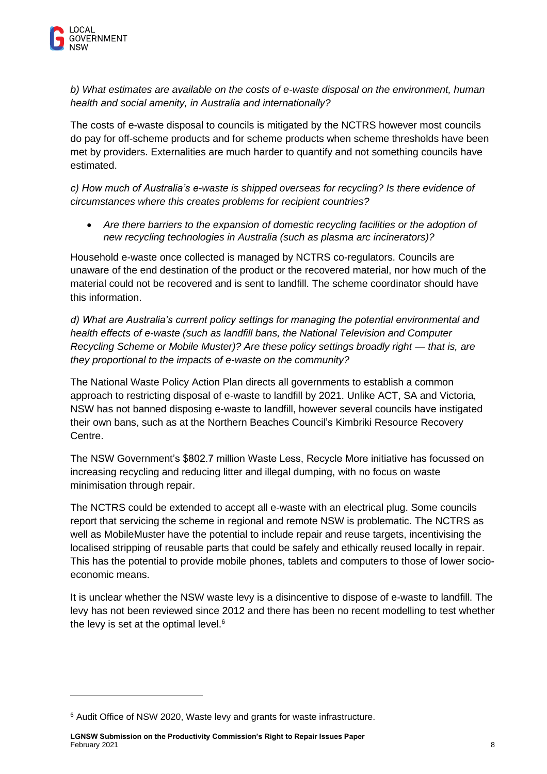*b) What estimates are available on the costs of e-waste disposal on the environment, human health and social amenity, in Australia and internationally?*

The costs of e-waste disposal to councils is mitigated by the NCTRS however most councils do pay for off-scheme products and for scheme products when scheme thresholds have been met by providers. Externalities are much harder to quantify and not something councils have estimated.

*c) How much of Australia's e-waste is shipped overseas for recycling? Is there evidence of circumstances where this creates problems for recipient countries?*

• *Are there barriers to the expansion of domestic recycling facilities or the adoption of new recycling technologies in Australia (such as plasma arc incinerators)?*

Household e-waste once collected is managed by NCTRS co-regulators. Councils are unaware of the end destination of the product or the recovered material, nor how much of the material could not be recovered and is sent to landfill. The scheme coordinator should have this information.

*d) What are Australia's current policy settings for managing the potential environmental and health effects of e-waste (such as landfill bans, the National Television and Computer Recycling Scheme or Mobile Muster)? Are these policy settings broadly right — that is, are they proportional to the impacts of e-waste on the community?*

The National Waste Policy Action Plan directs all governments to establish a common approach to restricting disposal of e-waste to landfill by 2021. Unlike ACT, SA and Victoria, NSW has not banned disposing e-waste to landfill, however several councils have instigated their own bans, such as at the Northern Beaches Council's Kimbriki Resource Recovery Centre.

The NSW Government's \$802.7 million Waste Less, Recycle More initiative has focussed on increasing recycling and reducing litter and illegal dumping, with no focus on waste minimisation through repair.

The NCTRS could be extended to accept all e-waste with an electrical plug. Some councils report that servicing the scheme in regional and remote NSW is problematic. The NCTRS as well as MobileMuster have the potential to include repair and reuse targets, incentivising the localised stripping of reusable parts that could be safely and ethically reused locally in repair. This has the potential to provide mobile phones, tablets and computers to those of lower socioeconomic means.

It is unclear whether the NSW waste levy is a disincentive to dispose of e-waste to landfill. The levy has not been reviewed since 2012 and there has been no recent modelling to test whether the levy is set at the optimal level.<sup>6</sup>

<sup>6</sup> Audit Office of NSW 2020, Waste levy and grants for waste infrastructure.

**LGNSW Submission on the Productivity Commission's Right to Repair Issues Paper** February 2021 8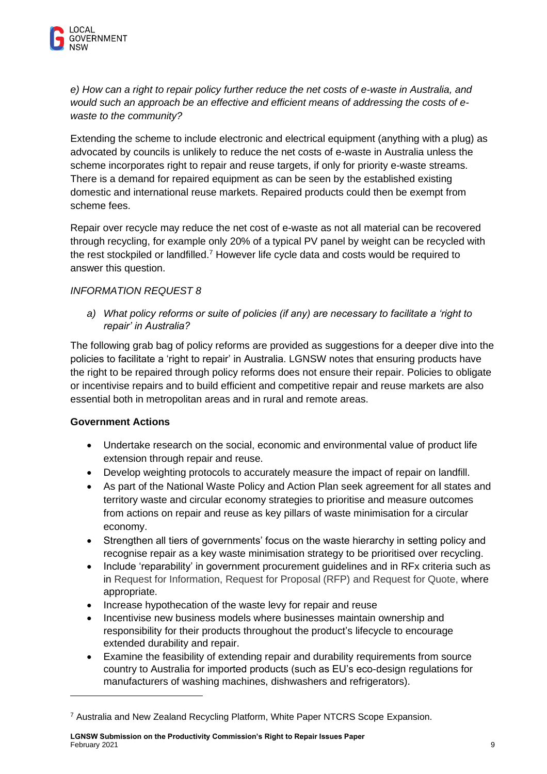*e) How can a right to repair policy further reduce the net costs of e-waste in Australia, and would such an approach be an effective and efficient means of addressing the costs of ewaste to the community?*

Extending the scheme to include electronic and electrical equipment (anything with a plug) as advocated by councils is unlikely to reduce the net costs of e-waste in Australia unless the scheme incorporates right to repair and reuse targets, if only for priority e-waste streams. There is a demand for repaired equipment as can be seen by the established existing domestic and international reuse markets. Repaired products could then be exempt from scheme fees.

Repair over recycle may reduce the net cost of e-waste as not all material can be recovered through recycling, for example only 20% of a typical PV panel by weight can be recycled with the rest stockpiled or landfilled.<sup>7</sup> However life cycle data and costs would be required to answer this question.

## *INFORMATION REQUEST 8*

*a) What policy reforms or suite of policies (if any) are necessary to facilitate a 'right to repair' in Australia?*

The following grab bag of policy reforms are provided as suggestions for a deeper dive into the policies to facilitate a 'right to repair' in Australia. LGNSW notes that ensuring products have the right to be repaired through policy reforms does not ensure their repair. Policies to obligate or incentivise repairs and to build efficient and competitive repair and reuse markets are also essential both in metropolitan areas and in rural and remote areas.

## **Government Actions**

- Undertake research on the social, economic and environmental value of product life extension through repair and reuse.
- Develop weighting protocols to accurately measure the impact of repair on landfill.
- As part of the National Waste Policy and Action Plan seek agreement for all states and territory waste and circular economy strategies to prioritise and measure outcomes from actions on repair and reuse as key pillars of waste minimisation for a circular economy.
- Strengthen all tiers of governments' focus on the waste hierarchy in setting policy and recognise repair as a key waste minimisation strategy to be prioritised over recycling.
- Include 'reparability' in government procurement guidelines and in RFx criteria such as in Request for Information, Request for Proposal (RFP) and Request for Quote, where appropriate.
- Increase hypothecation of the waste levy for repair and reuse
- Incentivise new business models where businesses maintain ownership and responsibility for their products throughout the product's lifecycle to encourage extended durability and repair.
- Examine the feasibility of extending repair and durability requirements from source country to Australia for imported products (such as EU's eco-design regulations for manufacturers of washing machines, dishwashers and refrigerators).

**LGNSW Submission on the Productivity Commission's Right to Repair Issues Paper** February 2021 9

<sup>7</sup> Australia and New Zealand Recycling Platform, White Paper NTCRS Scope Expansion.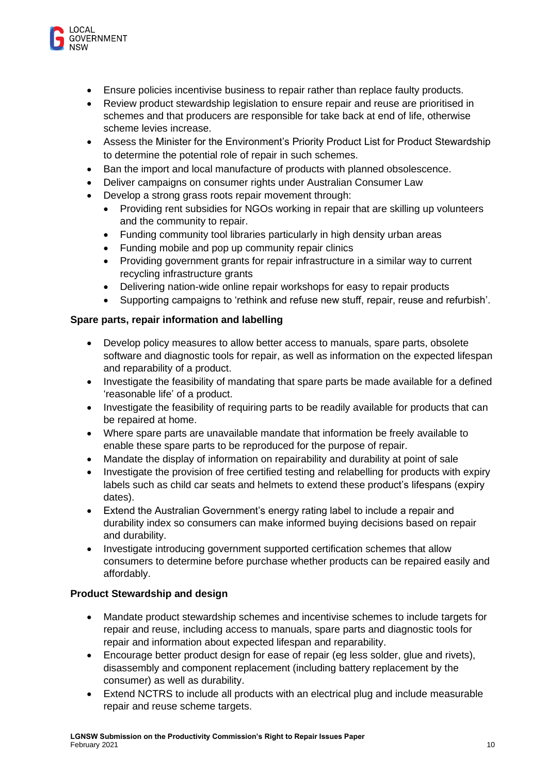

- Ensure policies incentivise business to repair rather than replace faulty products.
- Review product stewardship legislation to ensure repair and reuse are prioritised in schemes and that producers are responsible for take back at end of life, otherwise scheme levies increase.
- Assess the Minister for the Environment's Priority Product List for Product Stewardship to determine the potential role of repair in such schemes.
- Ban the import and local manufacture of products with planned obsolescence.
- Deliver campaigns on consumer rights under Australian Consumer Law
- Develop a strong grass roots repair movement through:
	- Providing rent subsidies for NGOs working in repair that are skilling up volunteers and the community to repair.
	- Funding community tool libraries particularly in high density urban areas
	- Funding mobile and pop up community repair clinics
	- Providing government grants for repair infrastructure in a similar way to current recycling infrastructure grants
	- Delivering nation-wide online repair workshops for easy to repair products
	- Supporting campaigns to 'rethink and refuse new stuff, repair, reuse and refurbish'.

#### **Spare parts, repair information and labelling**

- Develop policy measures to allow better access to manuals, spare parts, obsolete software and diagnostic tools for repair, as well as information on the expected lifespan and reparability of a product.
- Investigate the feasibility of mandating that spare parts be made available for a defined 'reasonable life' of a product.
- Investigate the feasibility of requiring parts to be readily available for products that can be repaired at home.
- Where spare parts are unavailable mandate that information be freely available to enable these spare parts to be reproduced for the purpose of repair.
- Mandate the display of information on repairability and durability at point of sale
- Investigate the provision of free certified testing and relabelling for products with expiry labels such as child car seats and helmets to extend these product's lifespans (expiry dates).
- Extend the Australian Government's energy rating label to include a repair and durability index so consumers can make informed buying decisions based on repair and durability.
- Investigate introducing government supported certification schemes that allow consumers to determine before purchase whether products can be repaired easily and affordably.

#### **Product Stewardship and design**

- Mandate product stewardship schemes and incentivise schemes to include targets for repair and reuse, including access to manuals, spare parts and diagnostic tools for repair and information about expected lifespan and reparability.
- Encourage better product design for ease of repair (eg less solder, glue and rivets), disassembly and component replacement (including battery replacement by the consumer) as well as durability.
- Extend NCTRS to include all products with an electrical plug and include measurable repair and reuse scheme targets.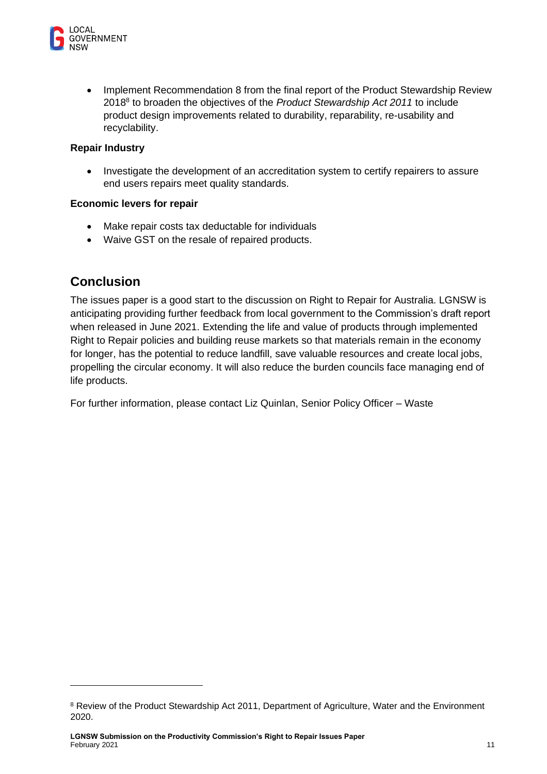

• Implement Recommendation 8 from the final report of the Product Stewardship Review 2018<sup>8</sup> to broaden the objectives of the *Product Stewardship Act 2011* to include product design improvements related to durability, reparability, re-usability and recyclability.

#### **Repair Industry**

• Investigate the development of an accreditation system to certify repairers to assure end users repairs meet quality standards.

#### **Economic levers for repair**

- Make repair costs tax deductable for individuals
- Waive GST on the resale of repaired products.

# **Conclusion**

The issues paper is a good start to the discussion on Right to Repair for Australia. LGNSW is anticipating providing further feedback from local government to the Commission's draft report when released in June 2021. Extending the life and value of products through implemented Right to Repair policies and building reuse markets so that materials remain in the economy for longer, has the potential to reduce landfill, save valuable resources and create local jobs, propelling the circular economy. It will also reduce the burden councils face managing end of life products.

For further information, please contact Liz Quinlan, Senior Policy Officer – Waste

<sup>&</sup>lt;sup>8</sup> Review of the Product Stewardship Act 2011, Department of Agriculture, Water and the Environment 2020.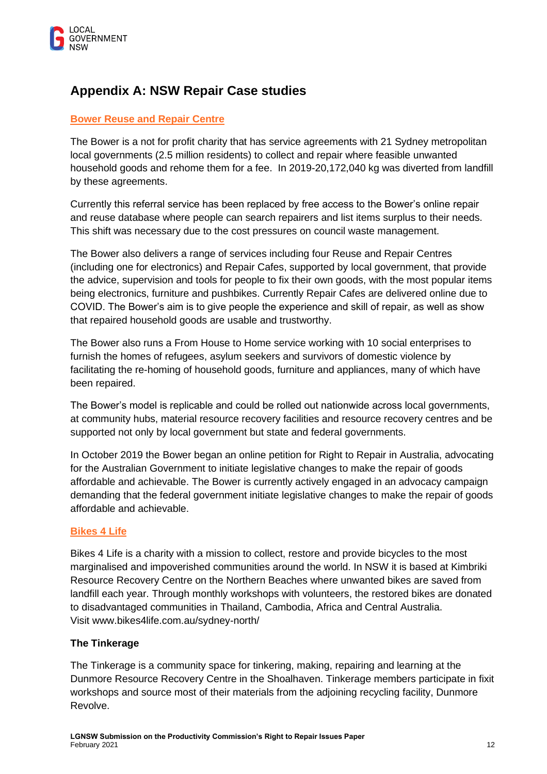

# **Appendix A: NSW Repair Case studies**

# **[Bower Reuse and Repair Centre](https://bower.org.au/)**

The Bower is a not for profit charity that has service agreements with 21 Sydney metropolitan local governments (2.5 million residents) to collect and repair where feasible unwanted household goods and rehome them for a fee. In 2019-20,172,040 kg was diverted from landfill by these agreements.

Currently this referral service has been replaced by free access to the Bower's online repair and reuse database where people can search repairers and list items surplus to their needs. This shift was necessary due to the cost pressures on council waste management.

The Bower also delivers a range of services including four Reuse and Repair Centres (including one for electronics) and Repair Cafes, supported by local government, that provide the advice, supervision and tools for people to fix their own goods, with the most popular items being electronics, furniture and pushbikes. Currently Repair Cafes are delivered online due to COVID. The Bower's aim is to give people the experience and skill of repair, as well as show that repaired household goods are usable and trustworthy.

The Bower also runs a From House to Home service working with 10 social enterprises to furnish the homes of refugees, asylum seekers and survivors of domestic violence by facilitating the re-homing of household goods, furniture and appliances, many of which have been repaired.

The Bower's model is replicable and could be rolled out nationwide across local governments, at community hubs, material resource recovery facilities and resource recovery centres and be supported not only by local government but state and federal governments.

In October 2019 the Bower began an online petition for Right to Repair in Australia, advocating for the Australian Government to initiate legislative changes to make the repair of goods affordable and achievable. The Bower is currently actively engaged in an advocacy campaign demanding that the federal government initiate legislative changes to make the repair of goods affordable and achievable.

## **[Bikes 4 Life](http://www.bikes4life.com.au/sydney-north/)**

Bikes 4 Life is a charity with a mission to collect, restore and provide bicycles to the most marginalised and impoverished communities around the world. In NSW it is based at Kimbriki Resource Recovery Centre on the Northern Beaches where unwanted bikes are saved from landfill each year. Through monthly workshops with volunteers, the restored bikes are donated to disadvantaged communities in Thailand, Cambodia, Africa and Central Australia. Visit [www.bikes4life.com.au/sydney-north/](http://www.bikes4life.com.au/sydney-north/#_blank)

#### **The Tinkerage**

The Tinkerage is a community space for tinkering, making, repairing and learning at the Dunmore Resource Recovery Centre in the Shoalhaven. Tinkerage members participate in fixit workshops and source most of their materials from the adjoining recycling facility, Dunmore Revolve.